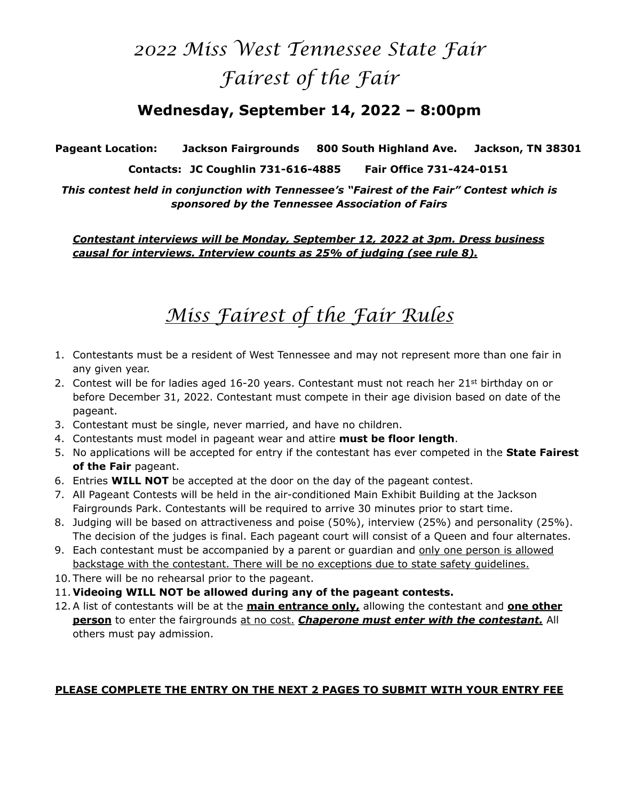### *2022 Miss West Tennessee State Fair Fairest of the Fair*

### **Wednesday, September 14, 2022 – 8:00pm**

**Pageant Location: Jackson Fairgrounds 800 South Highland Ave. Jackson, TN 38301** 

**Contacts: JC Coughlin 731-616-4885 Fair Office 731-424-0151** 

*This contest held in conjunction with Tennessee's "Fairest of the Fair" Contest which is sponsored by the Tennessee Association of Fairs* 

*Contestant interviews will be Monday, September 12, 2022 at 3pm. Dress business causal for interviews. Interview counts as 25% of judging (see rule 8).* 

### *Miss Fairest of the Fair Rules*

- 1. Contestants must be a resident of West Tennessee and may not represent more than one fair in any given year.
- 2. Contest will be for ladies aged 16-20 years. Contestant must not reach her 21<sup>st</sup> birthday on or before December 31, 2022. Contestant must compete in their age division based on date of the pageant.
- 3. Contestant must be single, never married, and have no children.
- 4. Contestants must model in pageant wear and attire **must be floor length**.
- 5. No applications will be accepted for entry if the contestant has ever competed in the **State Fairest of the Fair** pageant.
- 6. Entries **WILL NOT** be accepted at the door on the day of the pageant contest.
- 7. All Pageant Contests will be held in the air-conditioned Main Exhibit Building at the Jackson Fairgrounds Park. Contestants will be required to arrive 30 minutes prior to start time.
- 8. Judging will be based on attractiveness and poise (50%), interview (25%) and personality (25%). The decision of the judges is final. Each pageant court will consist of a Queen and four alternates.
- 9. Each contestant must be accompanied by a parent or guardian and only one person is allowed backstage with the contestant. There will be no exceptions due to state safety guidelines.
- 10. There will be no rehearsal prior to the pageant.
- 11. **Videoing WILL NOT be allowed during any of the pageant contests.**
- 12.A list of contestants will be at the **main entrance only,** allowing the contestant and **one other person** to enter the fairgrounds at no cost. *Chaperone must enter with the contestant.* All others must pay admission.

#### **PLEASE COMPLETE THE ENTRY ON THE NEXT 2 PAGES TO SUBMIT WITH YOUR ENTRY FEE**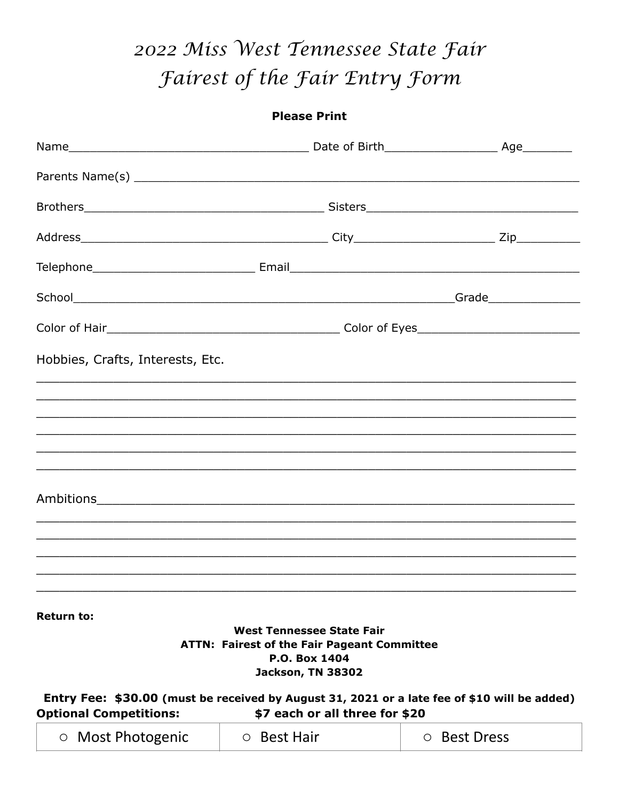## 2022 Miss West Tennessee State Fair Fairest of the Fair Entry Form

|                                  | <b>Please Print</b>                                                        |  |
|----------------------------------|----------------------------------------------------------------------------|--|
|                                  |                                                                            |  |
|                                  |                                                                            |  |
|                                  |                                                                            |  |
|                                  |                                                                            |  |
|                                  |                                                                            |  |
|                                  |                                                                            |  |
|                                  |                                                                            |  |
| Hobbies, Crafts, Interests, Etc. |                                                                            |  |
|                                  |                                                                            |  |
|                                  |                                                                            |  |
|                                  |                                                                            |  |
|                                  |                                                                            |  |
|                                  |                                                                            |  |
|                                  |                                                                            |  |
|                                  |                                                                            |  |
|                                  |                                                                            |  |
| <b>Return to:</b>                | <b>West Tennessee State Fair</b>                                           |  |
|                                  | <b>ATTN: Fairest of the Fair Pageant Committee</b><br><b>P.O. Box 1404</b> |  |
|                                  | Jackson, TN 38302                                                          |  |

Entry Fee: \$30.00 (must be received by August 31, 2021 or a late fee of \$10 will be added) **Optional Competitions:** \$7 each or all three for \$20

| O Most Photogenic | ○ Best Hair | ○ Best Dress |
|-------------------|-------------|--------------|
|-------------------|-------------|--------------|